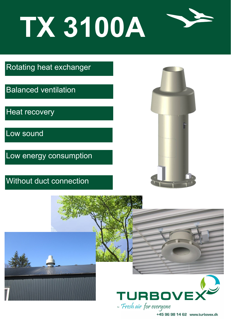## **TX 3100A**



Rotating heat exchanger

Balanced ventilation

Heat recovery

Low sound

Low energy consumption

## Without duct connection





+45 96 98 14 62 www.turbovex.dk